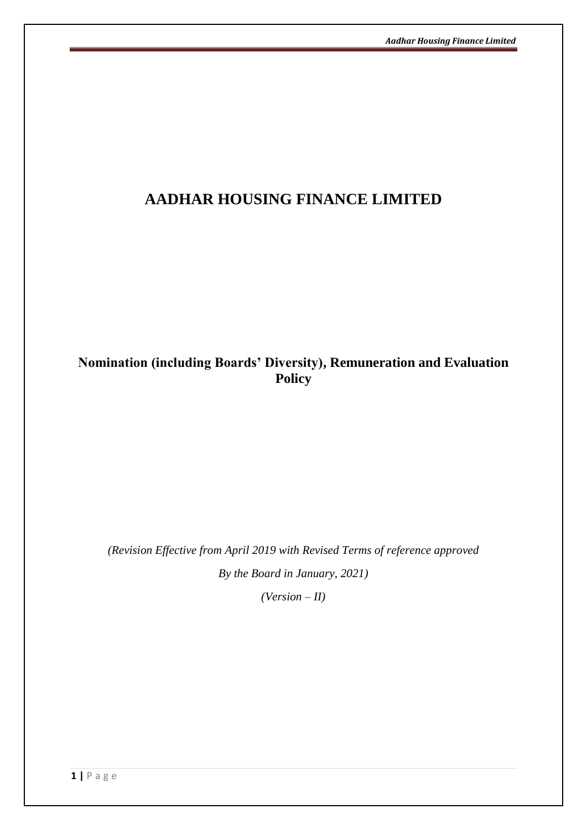# **AADHAR HOUSING FINANCE LIMITED**

# **Nomination (including Boards' Diversity), Remuneration and Evaluation Policy**

*(Revision Effective from April 2019 with Revised Terms of reference approved By the Board in January, 2021)*

*(Version – II)*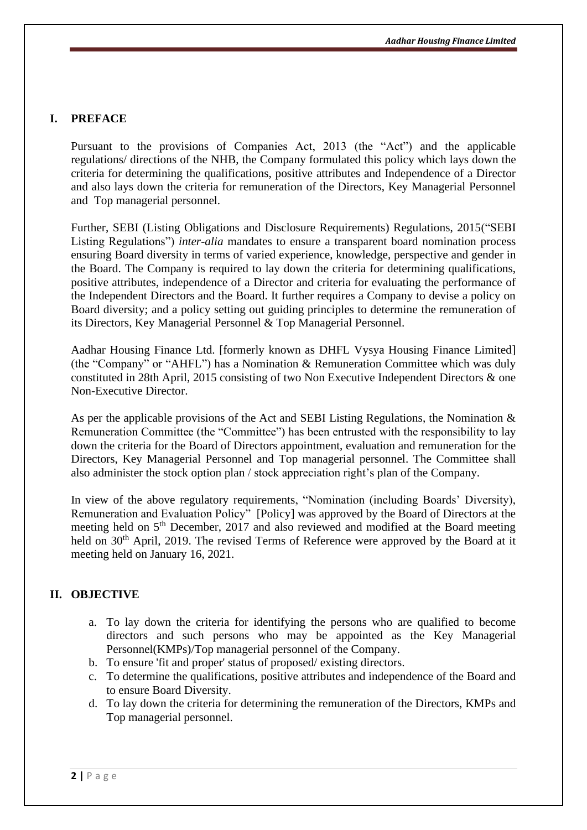# **I. PREFACE**

Pursuant to the provisions of Companies Act, 2013 (the "Act") and the applicable regulations/ directions of the NHB, the Company formulated this policy which lays down the criteria for determining the qualifications, positive attributes and Independence of a Director and also lays down the criteria for remuneration of the Directors, Key Managerial Personnel and Top managerial personnel.

Further, SEBI (Listing Obligations and Disclosure Requirements) Regulations, 2015("SEBI Listing Regulations") *inter-alia* mandates to ensure a transparent board nomination process ensuring Board diversity in terms of varied experience, knowledge, perspective and gender in the Board. The Company is required to lay down the criteria for determining qualifications, positive attributes, independence of a Director and criteria for evaluating the performance of the Independent Directors and the Board. It further requires a Company to devise a policy on Board diversity; and a policy setting out guiding principles to determine the remuneration of its Directors, Key Managerial Personnel & Top Managerial Personnel.

Aadhar Housing Finance Ltd. [formerly known as DHFL Vysya Housing Finance Limited] (the "Company" or "AHFL") has a Nomination & Remuneration Committee which was duly constituted in 28th April, 2015 consisting of two Non Executive Independent Directors & one Non-Executive Director.

As per the applicable provisions of the Act and SEBI Listing Regulations, the Nomination & Remuneration Committee (the "Committee") has been entrusted with the responsibility to lay down the criteria for the Board of Directors appointment, evaluation and remuneration for the Directors, Key Managerial Personnel and Top managerial personnel. The Committee shall also administer the stock option plan / stock appreciation right's plan of the Company.

In view of the above regulatory requirements, "Nomination (including Boards' Diversity), Remuneration and Evaluation Policy" [Policy] was approved by the Board of Directors at the meeting held on 5<sup>th</sup> December, 2017 and also reviewed and modified at the Board meeting held on 30<sup>th</sup> April, 2019. The revised Terms of Reference were approved by the Board at it meeting held on January 16, 2021.

# **II. OBJECTIVE**

- a. To lay down the criteria for identifying the persons who are qualified to become directors and such persons who may be appointed as the Key Managerial Personnel(KMPs)/Top managerial personnel of the Company.
- b. To ensure 'fit and proper' status of proposed/ existing directors.
- c. To determine the qualifications, positive attributes and independence of the Board and to ensure Board Diversity.
- d. To lay down the criteria for determining the remuneration of the Directors, KMPs and Top managerial personnel.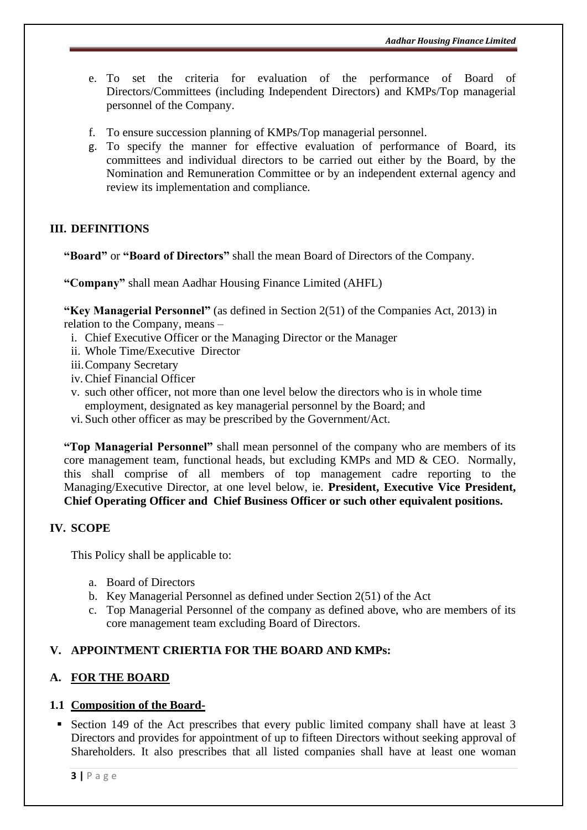- e. To set the criteria for evaluation of the performance of Board of Directors/Committees (including Independent Directors) and KMPs/Top managerial personnel of the Company.
- f. To ensure succession planning of KMPs/Top managerial personnel.
- g. To specify the manner for effective evaluation of performance of Board, its committees and individual directors to be carried out either by the Board, by the Nomination and Remuneration Committee or by an independent external agency and review its implementation and compliance.

## **III. DEFINITIONS**

**"Board"** or **"Board of Directors"** shall the mean Board of Directors of the Company.

**"Company"** shall mean Aadhar Housing Finance Limited (AHFL)

**"Key Managerial Personnel"** (as defined in Section 2(51) of the Companies Act, 2013) in relation to the Company, means –

- i. Chief Executive Officer or the Managing Director or the Manager
- ii. Whole Time/Executive Director
- iii.Company Secretary
- iv.Chief Financial Officer
- v. such other officer, not more than one level below the directors who is in whole time employment, designated as key managerial personnel by the Board; and
- vi. Such other officer as may be prescribed by the Government/Act.

**"Top Managerial Personnel"** shall mean personnel of the company who are members of its core management team, functional heads, but excluding KMPs and MD & CEO. Normally, this shall comprise of all members of top management cadre reporting to the Managing/Executive Director, at one level below, ie. **President, Executive Vice President, Chief Operating Officer and Chief Business Officer or such other equivalent positions.**

#### **IV. SCOPE**

This Policy shall be applicable to:

- a. Board of Directors
- b. Key Managerial Personnel as defined under Section 2(51) of the Act
- c. Top Managerial Personnel of the company as defined above, who are members of its core management team excluding Board of Directors.

## **V. APPOINTMENT CRIERTIA FOR THE BOARD AND KMPs:**

#### **A. FOR THE BOARD**

#### **1.1 Composition of the Board-**

■ Section 149 of the Act prescribes that every public limited company shall have at least 3 Directors and provides for appointment of up to fifteen Directors without seeking approval of Shareholders. It also prescribes that all listed companies shall have at least one woman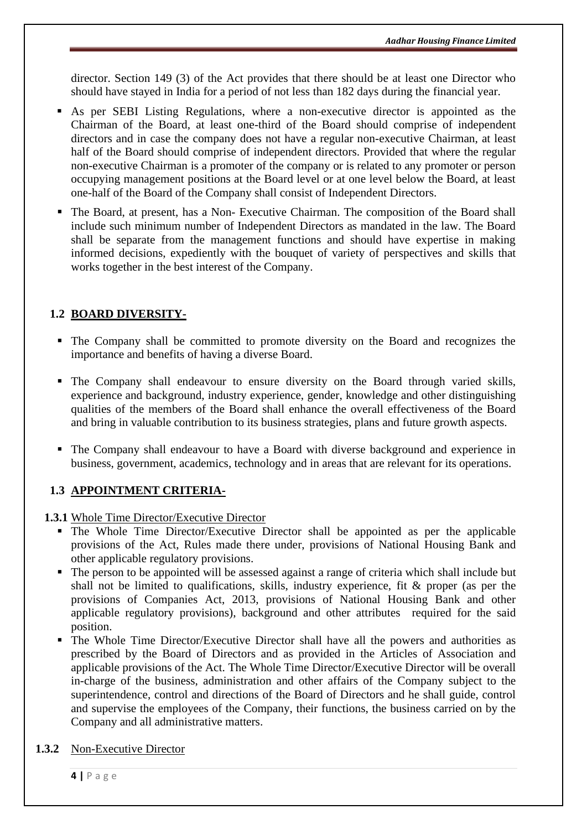director. Section 149 (3) of the Act provides that there should be at least one Director who should have stayed in India for a period of not less than 182 days during the financial year.

- As per SEBI Listing Regulations, where a non-executive director is appointed as the Chairman of the Board, at least one-third of the Board should comprise of independent directors and in case the company does not have a regular non-executive Chairman, at least half of the Board should comprise of independent directors. Provided that where the regular non-executive Chairman is a promoter of the company or is related to any promoter or person occupying management positions at the Board level or at one level below the Board, at least one-half of the Board of the Company shall consist of Independent Directors.
- The Board, at present, has a Non-Executive Chairman. The composition of the Board shall include such minimum number of Independent Directors as mandated in the law. The Board shall be separate from the management functions and should have expertise in making informed decisions, expediently with the bouquet of variety of perspectives and skills that works together in the best interest of the Company.

# **1.2 BOARD DIVERSITY-**

- The Company shall be committed to promote diversity on the Board and recognizes the importance and benefits of having a diverse Board.
- The Company shall endeavour to ensure diversity on the Board through varied skills, experience and background, industry experience, gender, knowledge and other distinguishing qualities of the members of the Board shall enhance the overall effectiveness of the Board and bring in valuable contribution to its business strategies, plans and future growth aspects.
- The Company shall endeavour to have a Board with diverse background and experience in business, government, academics, technology and in areas that are relevant for its operations.

## **1.3 APPOINTMENT CRITERIA-**

**1.3.1** Whole Time Director/Executive Director

- The Whole Time Director/Executive Director shall be appointed as per the applicable provisions of the Act, Rules made there under, provisions of National Housing Bank and other applicable regulatory provisions.
- The person to be appointed will be assessed against a range of criteria which shall include but shall not be limited to qualifications, skills, industry experience, fit & proper (as per the provisions of Companies Act, 2013, provisions of National Housing Bank and other applicable regulatory provisions), background and other attributes required for the said position.
- The Whole Time Director/Executive Director shall have all the powers and authorities as prescribed by the Board of Directors and as provided in the Articles of Association and applicable provisions of the Act. The Whole Time Director/Executive Director will be overall in-charge of the business, administration and other affairs of the Company subject to the superintendence, control and directions of the Board of Directors and he shall guide, control and supervise the employees of the Company, their functions, the business carried on by the Company and all administrative matters.

## **1.3.2** Non-Executive Director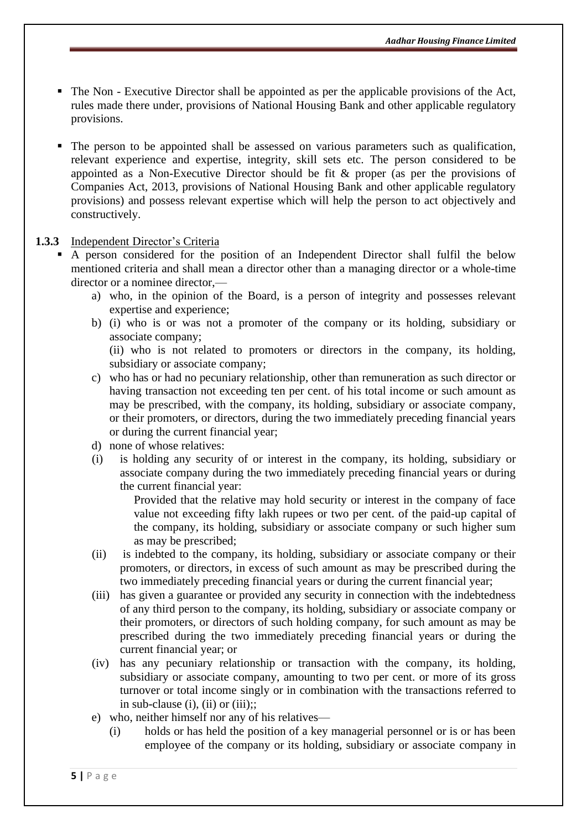- The Non Executive Director shall be appointed as per the applicable provisions of the Act, rules made there under, provisions of National Housing Bank and other applicable regulatory provisions.
- The person to be appointed shall be assessed on various parameters such as qualification, relevant experience and expertise, integrity, skill sets etc. The person considered to be appointed as a Non-Executive Director should be fit & proper (as per the provisions of Companies Act, 2013, provisions of National Housing Bank and other applicable regulatory provisions) and possess relevant expertise which will help the person to act objectively and constructively.

#### **1.3.3** Independent Director's Criteria

- A person considered for the position of an Independent Director shall fulfil the below mentioned criteria and shall mean a director other than a managing director or a whole-time director or a nominee director,
	- a) who, in the opinion of the Board, is a person of integrity and possesses relevant expertise and experience;
	- b) (i) who is or was not a promoter of the company or its holding, subsidiary or associate company;

(ii) who is not related to promoters or directors in the company, its holding, subsidiary or associate company;

- c) who has or had no pecuniary relationship, other than remuneration as such director or having transaction not exceeding ten per cent. of his total income or such amount as may be prescribed, with the company, its holding, subsidiary or associate company, or their promoters, or directors, during the two immediately preceding financial years or during the current financial year;
- d) none of whose relatives:
- (i) is holding any security of or interest in the company, its holding, subsidiary or associate company during the two immediately preceding financial years or during the current financial year:

Provided that the relative may hold security or interest in the company of face value not exceeding fifty lakh rupees or two per cent. of the paid-up capital of the company, its holding, subsidiary or associate company or such higher sum as may be prescribed;

- (ii) is indebted to the company, its holding, subsidiary or associate company or their promoters, or directors, in excess of such amount as may be prescribed during the two immediately preceding financial years or during the current financial year;
- (iii) has given a guarantee or provided any security in connection with the indebtedness of any third person to the company, its holding, subsidiary or associate company or their promoters, or directors of such holding company, for such amount as may be prescribed during the two immediately preceding financial years or during the current financial year; or
- (iv) has any pecuniary relationship or transaction with the company, its holding, subsidiary or associate company, amounting to two per cent. or more of its gross turnover or total income singly or in combination with the transactions referred to in sub-clause  $(i)$ ,  $(ii)$  or  $(iii)$ ;;
- e) who, neither himself nor any of his relatives—
	- (i) holds or has held the position of a key managerial personnel or is or has been employee of the company or its holding, subsidiary or associate company in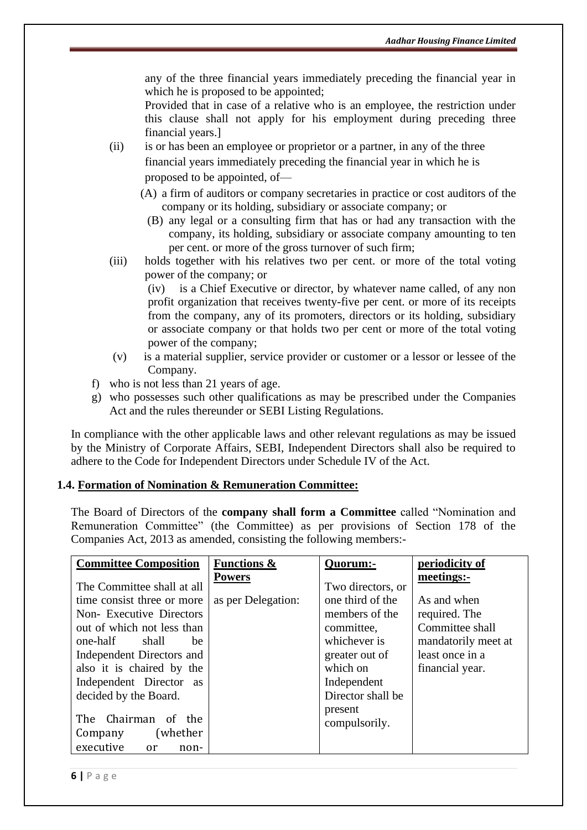any of the three financial years immediately preceding the financial year in which he is proposed to be appointed;

Provided that in case of a relative who is an employee, the restriction under this clause shall not apply for his employment during preceding three financial years.]

- (ii) is or has been an employee or proprietor or a partner, in any of the three financial years immediately preceding the financial year in which he is proposed to be appointed, of—
	- (A) a firm of auditors or company secretaries in practice or cost auditors of the company or its holding, subsidiary or associate company; or
		- (B) any legal or a consulting firm that has or had any transaction with the company, its holding, subsidiary or associate company amounting to ten per cent. or more of the gross turnover of such firm;
- (iii) holds together with his relatives two per cent. or more of the total voting power of the company; or

(iv) is a Chief Executive or director, by whatever name called, of any non profit organization that receives twenty-five per cent. or more of its receipts from the company, any of its promoters, directors or its holding, subsidiary or associate company or that holds two per cent or more of the total voting power of the company;

- (v) is a material supplier, service provider or customer or a lessor or lessee of the Company.
- f) who is not less than 21 years of age.
- g) who possesses such other qualifications as may be prescribed under the Companies Act and the rules thereunder or SEBI Listing Regulations.

In compliance with the other applicable laws and other relevant regulations as may be issued by the Ministry of Corporate Affairs, SEBI, Independent Directors shall also be required to adhere to the Code for Independent Directors under Schedule IV of the Act.

#### **1.4. Formation of Nomination & Remuneration Committee:**

The Board of Directors of the **company shall form a Committee** called "Nomination and Remuneration Committee" (the Committee) as per provisions of Section 178 of the Companies Act, 2013 as amended, consisting the following members:-

| <b>Committee Composition</b>                                                                                                                                                                                                                            | <b>Functions &amp;</b> | Quorum:-                                                                                                                                                       | periodicity of                                                                                               |
|---------------------------------------------------------------------------------------------------------------------------------------------------------------------------------------------------------------------------------------------------------|------------------------|----------------------------------------------------------------------------------------------------------------------------------------------------------------|--------------------------------------------------------------------------------------------------------------|
| The Committee shall at all                                                                                                                                                                                                                              | <b>Powers</b>          | Two directors, or                                                                                                                                              | meetings:-                                                                                                   |
| time consist three or more<br>Non- Executive Directors<br>out of which not less than<br>one-half<br>shall<br>be<br>Independent Directors and<br>also it is chaired by the<br>Independent Director as<br>decided by the Board.<br>Chairman of the<br>The | as per Delegation:     | one third of the<br>members of the<br>committee,<br>whichever is<br>greater out of<br>which on<br>Independent<br>Director shall be<br>present<br>compulsorily. | As and when<br>required. The<br>Committee shall<br>mandatorily meet at<br>least once in a<br>financial year. |
| (whether)<br>Company<br>executive<br>or<br>non-                                                                                                                                                                                                         |                        |                                                                                                                                                                |                                                                                                              |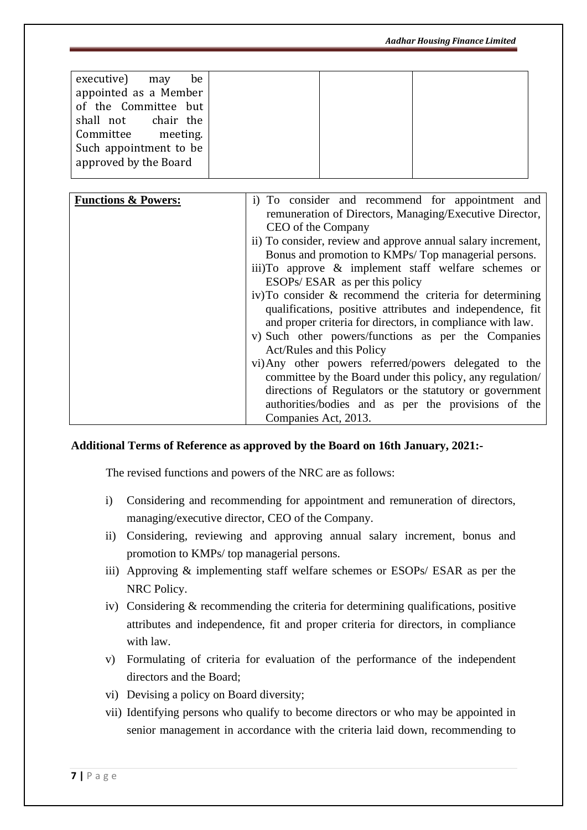| executive) may<br>be   |  |  |
|------------------------|--|--|
| appointed as a Member  |  |  |
| of the Committee but   |  |  |
| shall not chair the    |  |  |
| Committee meeting.     |  |  |
| Such appointment to be |  |  |
| approved by the Board  |  |  |
|                        |  |  |

| <b>Functions &amp; Powers:</b> | i) To consider and recommend for appointment and             |  |  |
|--------------------------------|--------------------------------------------------------------|--|--|
|                                | remuneration of Directors, Managing/Executive Director,      |  |  |
|                                | CEO of the Company                                           |  |  |
|                                | ii) To consider, review and approve annual salary increment, |  |  |
|                                | Bonus and promotion to KMPs/Top managerial persons.          |  |  |
|                                | iii)To approve & implement staff welfare schemes or          |  |  |
|                                | ESOPs/ ESAR as per this policy                               |  |  |
|                                | iv) To consider $\&$ recommend the criteria for determining  |  |  |
|                                | qualifications, positive attributes and independence, fit    |  |  |
|                                | and proper criteria for directors, in compliance with law.   |  |  |
|                                | v) Such other powers/functions as per the Companies          |  |  |
|                                | Act/Rules and this Policy                                    |  |  |
|                                | vi)Any other powers referred/powers delegated to the         |  |  |
|                                | committee by the Board under this policy, any regulation/    |  |  |
|                                | directions of Regulators or the statutory or government      |  |  |
|                                | authorities/bodies and as per the provisions of the          |  |  |
|                                | Companies Act, 2013.                                         |  |  |

## **Additional Terms of Reference as approved by the Board on 16th January, 2021:-**

The revised functions and powers of the NRC are as follows:

- i) Considering and recommending for appointment and remuneration of directors, managing/executive director, CEO of the Company.
- ii) Considering, reviewing and approving annual salary increment, bonus and promotion to KMPs/ top managerial persons.
- iii) Approving & implementing staff welfare schemes or ESOPs/ ESAR as per the NRC Policy.
- iv) Considering & recommending the criteria for determining qualifications, positive attributes and independence, fit and proper criteria for directors, in compliance with law.
- v) Formulating of criteria for evaluation of the performance of the independent directors and the Board;
- vi) Devising a policy on Board diversity;
- vii) Identifying persons who qualify to become directors or who may be appointed in senior management in accordance with the criteria laid down, recommending to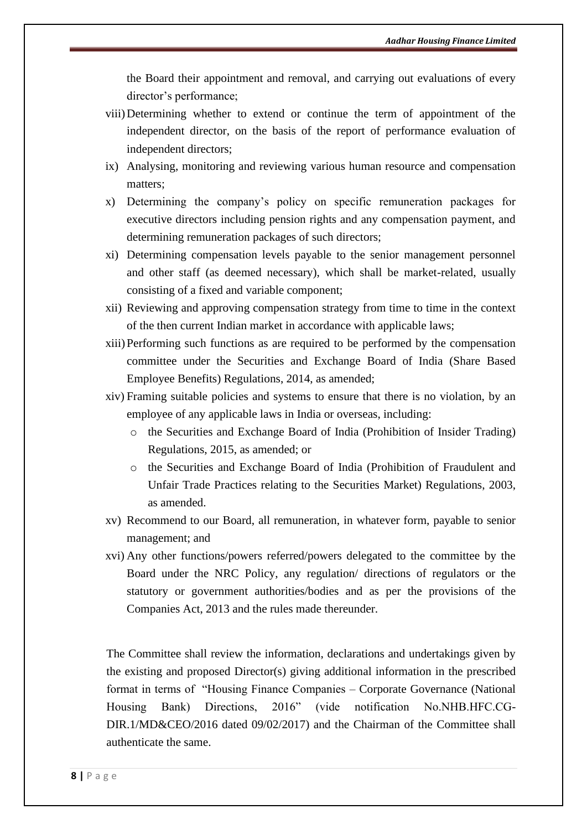the Board their appointment and removal, and carrying out evaluations of every director's performance;

- viii)Determining whether to extend or continue the term of appointment of the independent director, on the basis of the report of performance evaluation of independent directors;
- ix) Analysing, monitoring and reviewing various human resource and compensation matters;
- x) Determining the company's policy on specific remuneration packages for executive directors including pension rights and any compensation payment, and determining remuneration packages of such directors;
- xi) Determining compensation levels payable to the senior management personnel and other staff (as deemed necessary), which shall be market-related, usually consisting of a fixed and variable component;
- xii) Reviewing and approving compensation strategy from time to time in the context of the then current Indian market in accordance with applicable laws;
- xiii) Performing such functions as are required to be performed by the compensation committee under the Securities and Exchange Board of India (Share Based Employee Benefits) Regulations, 2014, as amended;
- xiv) Framing suitable policies and systems to ensure that there is no violation, by an employee of any applicable laws in India or overseas, including:
	- o the Securities and Exchange Board of India (Prohibition of Insider Trading) Regulations, 2015, as amended; or
	- o the Securities and Exchange Board of India (Prohibition of Fraudulent and Unfair Trade Practices relating to the Securities Market) Regulations, 2003, as amended.
- xv) Recommend to our Board, all remuneration, in whatever form, payable to senior management; and
- xvi) Any other functions/powers referred/powers delegated to the committee by the Board under the NRC Policy, any regulation/ directions of regulators or the statutory or government authorities/bodies and as per the provisions of the Companies Act, 2013 and the rules made thereunder.

The Committee shall review the information, declarations and undertakings given by the existing and proposed Director(s) giving additional information in the prescribed format in terms of "Housing Finance Companies – Corporate Governance (National Housing Bank) Directions, 2016" (vide notification No.NHB.HFC.CG-DIR.1/MD&CEO/2016 dated 09/02/2017) and the Chairman of the Committee shall authenticate the same.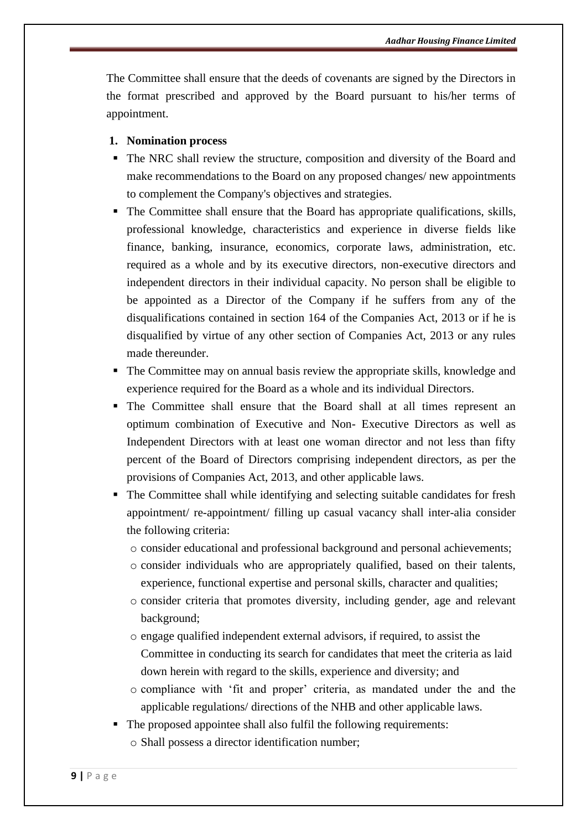The Committee shall ensure that the deeds of covenants are signed by the Directors in the format prescribed and approved by the Board pursuant to his/her terms of appointment.

#### **1. Nomination process**

- The NRC shall review the structure, composition and diversity of the Board and make recommendations to the Board on any proposed changes/ new appointments to complement the Company's objectives and strategies.
- The Committee shall ensure that the Board has appropriate qualifications, skills, professional knowledge, characteristics and experience in diverse fields like finance, banking, insurance, economics, corporate laws, administration, etc. required as a whole and by its executive directors, non-executive directors and independent directors in their individual capacity. No person shall be eligible to be appointed as a Director of the Company if he suffers from any of the disqualifications contained in section 164 of the Companies Act, 2013 or if he is disqualified by virtue of any other section of Companies Act, 2013 or any rules made thereunder.
- The Committee may on annual basis review the appropriate skills, knowledge and experience required for the Board as a whole and its individual Directors.
- The Committee shall ensure that the Board shall at all times represent an optimum combination of Executive and Non- Executive Directors as well as Independent Directors with at least one woman director and not less than fifty percent of the Board of Directors comprising independent directors, as per the provisions of Companies Act, 2013, and other applicable laws.
- The Committee shall while identifying and selecting suitable candidates for fresh appointment/ re-appointment/ filling up casual vacancy shall inter-alia consider the following criteria:
	- o consider educational and professional background and personal achievements;
	- o consider individuals who are appropriately qualified, based on their talents, experience, functional expertise and personal skills, character and qualities;
	- o consider criteria that promotes diversity, including gender, age and relevant background;
	- o engage qualified independent external advisors, if required, to assist the Committee in conducting its search for candidates that meet the criteria as laid down herein with regard to the skills, experience and diversity; and
	- o compliance with 'fit and proper' criteria, as mandated under the and the applicable regulations/ directions of the NHB and other applicable laws.
- The proposed appointee shall also fulfil the following requirements: o Shall possess a director identification number;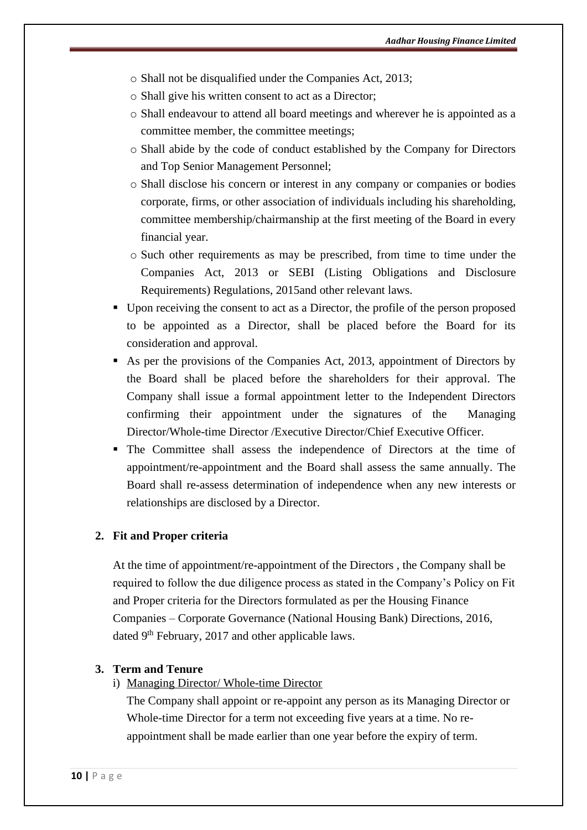- o Shall not be disqualified under the Companies Act, 2013;
- o Shall give his written consent to act as a Director;
- o Shall endeavour to attend all board meetings and wherever he is appointed as a committee member, the committee meetings;
- o Shall abide by the code of conduct established by the Company for Directors and Top Senior Management Personnel;
- o Shall disclose his concern or interest in any company or companies or bodies corporate, firms, or other association of individuals including his shareholding, committee membership/chairmanship at the first meeting of the Board in every financial year.
- o Such other requirements as may be prescribed, from time to time under the Companies Act, 2013 or SEBI (Listing Obligations and Disclosure Requirements) Regulations, 2015and other relevant laws.
- Upon receiving the consent to act as a Director, the profile of the person proposed to be appointed as a Director, shall be placed before the Board for its consideration and approval.
- As per the provisions of the Companies Act, 2013, appointment of Directors by the Board shall be placed before the shareholders for their approval. The Company shall issue a formal appointment letter to the Independent Directors confirming their appointment under the signatures of the Managing Director/Whole-time Director /Executive Director/Chief Executive Officer.
- The Committee shall assess the independence of Directors at the time of appointment/re-appointment and the Board shall assess the same annually. The Board shall re-assess determination of independence when any new interests or relationships are disclosed by a Director.

#### **2. Fit and Proper criteria**

At the time of appointment/re-appointment of the Directors , the Company shall be required to follow the due diligence process as stated in the Company's Policy on Fit and Proper criteria for the Directors formulated as per the Housing Finance Companies – Corporate Governance (National Housing Bank) Directions, 2016, dated 9<sup>th</sup> February, 2017 and other applicable laws.

#### **3. Term and Tenure**

i) Managing Director/ Whole-time Director

The Company shall appoint or re-appoint any person as its Managing Director or Whole-time Director for a term not exceeding five years at a time. No reappointment shall be made earlier than one year before the expiry of term.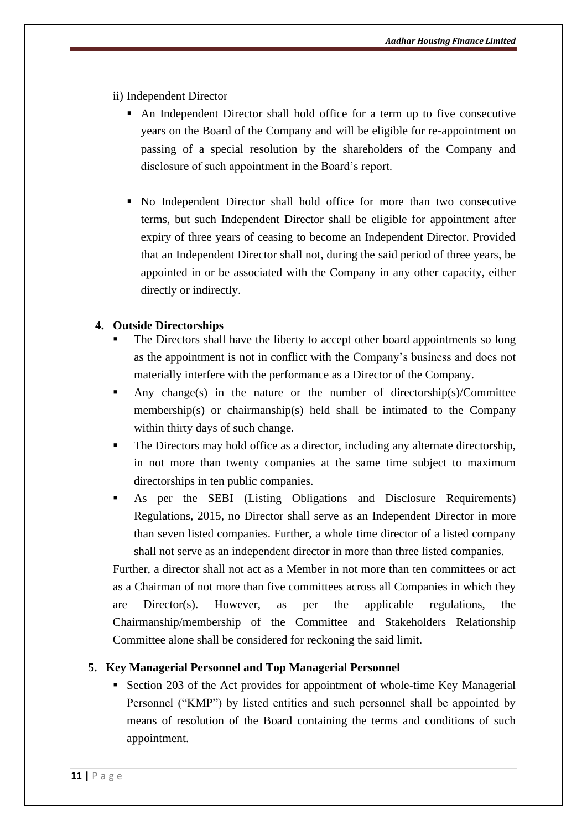ii) Independent Director

- An Independent Director shall hold office for a term up to five consecutive years on the Board of the Company and will be eligible for re-appointment on passing of a special resolution by the shareholders of the Company and disclosure of such appointment in the Board's report.
- No Independent Director shall hold office for more than two consecutive terms, but such Independent Director shall be eligible for appointment after expiry of three years of ceasing to become an Independent Director. Provided that an Independent Director shall not, during the said period of three years, be appointed in or be associated with the Company in any other capacity, either directly or indirectly.

## **4. Outside Directorships**

- The Directors shall have the liberty to accept other board appointments so long as the appointment is not in conflict with the Company's business and does not materially interfere with the performance as a Director of the Company.
- Any change(s) in the nature or the number of directorship(s)/Committee membership(s) or chairmanship(s) held shall be intimated to the Company within thirty days of such change.
- The Directors may hold office as a director, including any alternate directorship, in not more than twenty companies at the same time subject to maximum directorships in ten public companies.
- As per the SEBI (Listing Obligations and Disclosure Requirements) Regulations, 2015, no Director shall serve as an Independent Director in more than seven listed companies. Further, a whole time director of a listed company shall not serve as an independent director in more than three listed companies.

Further, a director shall not act as a Member in not more than ten committees or act as a Chairman of not more than five committees across all Companies in which they are Director(s). However, as per the applicable regulations, the Chairmanship/membership of the Committee and Stakeholders Relationship Committee alone shall be considered for reckoning the said limit.

#### **5. Key Managerial Personnel and Top Managerial Personnel**

■ Section 203 of the Act provides for appointment of whole-time Key Managerial Personnel ("KMP") by listed entities and such personnel shall be appointed by means of resolution of the Board containing the terms and conditions of such appointment.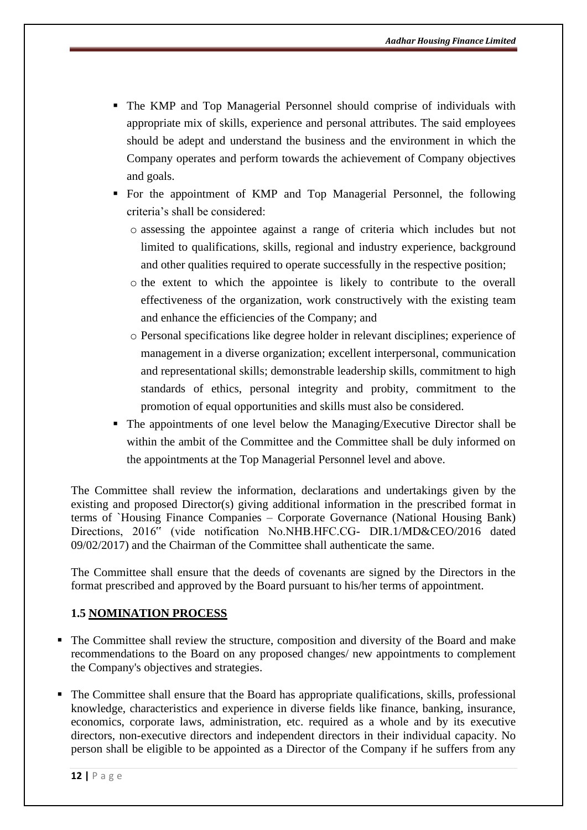- The KMP and Top Managerial Personnel should comprise of individuals with appropriate mix of skills, experience and personal attributes. The said employees should be adept and understand the business and the environment in which the Company operates and perform towards the achievement of Company objectives and goals.
- For the appointment of KMP and Top Managerial Personnel, the following criteria's shall be considered:
	- o assessing the appointee against a range of criteria which includes but not limited to qualifications, skills, regional and industry experience, background and other qualities required to operate successfully in the respective position;
	- o the extent to which the appointee is likely to contribute to the overall effectiveness of the organization, work constructively with the existing team and enhance the efficiencies of the Company; and
	- o Personal specifications like degree holder in relevant disciplines; experience of management in a diverse organization; excellent interpersonal, communication and representational skills; demonstrable leadership skills, commitment to high standards of ethics, personal integrity and probity, commitment to the promotion of equal opportunities and skills must also be considered.
- The appointments of one level below the Managing/Executive Director shall be within the ambit of the Committee and the Committee shall be duly informed on the appointments at the Top Managerial Personnel level and above.

The Committee shall review the information, declarations and undertakings given by the existing and proposed Director(s) giving additional information in the prescribed format in terms of `Housing Finance Companies – Corporate Governance (National Housing Bank) Directions, 2016" (vide notification No.NHB.HFC.CG- DIR.1/MD&CEO/2016 dated 09/02/2017) and the Chairman of the Committee shall authenticate the same.

The Committee shall ensure that the deeds of covenants are signed by the Directors in the format prescribed and approved by the Board pursuant to his/her terms of appointment.

## **1.5 NOMINATION PROCESS**

- The Committee shall review the structure, composition and diversity of the Board and make recommendations to the Board on any proposed changes/ new appointments to complement the Company's objectives and strategies.
- The Committee shall ensure that the Board has appropriate qualifications, skills, professional knowledge, characteristics and experience in diverse fields like finance, banking, insurance, economics, corporate laws, administration, etc. required as a whole and by its executive directors, non-executive directors and independent directors in their individual capacity. No person shall be eligible to be appointed as a Director of the Company if he suffers from any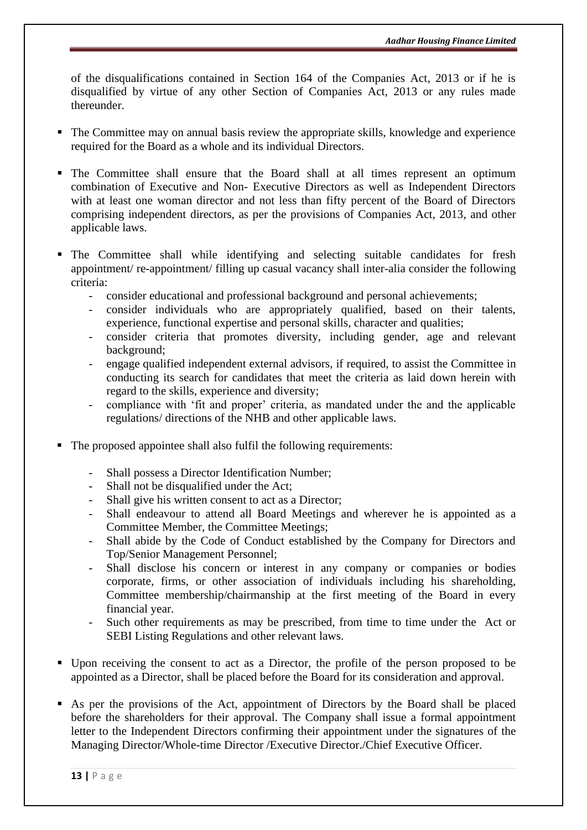of the disqualifications contained in Section 164 of the Companies Act, 2013 or if he is disqualified by virtue of any other Section of Companies Act, 2013 or any rules made thereunder.

- The Committee may on annual basis review the appropriate skills, knowledge and experience required for the Board as a whole and its individual Directors.
- The Committee shall ensure that the Board shall at all times represent an optimum combination of Executive and Non- Executive Directors as well as Independent Directors with at least one woman director and not less than fifty percent of the Board of Directors comprising independent directors, as per the provisions of Companies Act, 2013, and other applicable laws.
- The Committee shall while identifying and selecting suitable candidates for fresh appointment/ re-appointment/ filling up casual vacancy shall inter-alia consider the following criteria:
	- consider educational and professional background and personal achievements;
	- consider individuals who are appropriately qualified, based on their talents, experience, functional expertise and personal skills, character and qualities;
	- consider criteria that promotes diversity, including gender, age and relevant background;
	- engage qualified independent external advisors, if required, to assist the Committee in conducting its search for candidates that meet the criteria as laid down herein with regard to the skills, experience and diversity;
	- compliance with 'fit and proper' criteria, as mandated under the and the applicable regulations/ directions of the NHB and other applicable laws.
- The proposed appointee shall also fulfil the following requirements:
	- Shall possess a Director Identification Number;
	- Shall not be disqualified under the Act;
	- Shall give his written consent to act as a Director;
	- Shall endeavour to attend all Board Meetings and wherever he is appointed as a Committee Member, the Committee Meetings;
	- Shall abide by the Code of Conduct established by the Company for Directors and Top/Senior Management Personnel;
	- Shall disclose his concern or interest in any company or companies or bodies corporate, firms, or other association of individuals including his shareholding, Committee membership/chairmanship at the first meeting of the Board in every financial year.
	- Such other requirements as may be prescribed, from time to time under the Act or SEBI Listing Regulations and other relevant laws.
- Upon receiving the consent to act as a Director, the profile of the person proposed to be appointed as a Director, shall be placed before the Board for its consideration and approval.
- As per the provisions of the Act, appointment of Directors by the Board shall be placed before the shareholders for their approval. The Company shall issue a formal appointment letter to the Independent Directors confirming their appointment under the signatures of the Managing Director/Whole-time Director /Executive Director./Chief Executive Officer.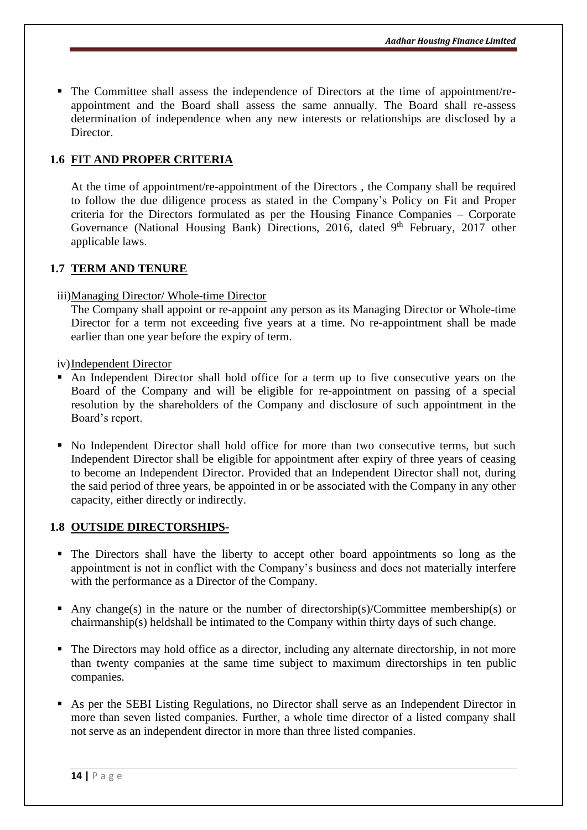The Committee shall assess the independence of Directors at the time of appointment/reappointment and the Board shall assess the same annually. The Board shall re-assess determination of independence when any new interests or relationships are disclosed by a Director.

## **1.6 FIT AND PROPER CRITERIA**

At the time of appointment/re-appointment of the Directors , the Company shall be required to follow the due diligence process as stated in the Company's Policy on Fit and Proper criteria for the Directors formulated as per the Housing Finance Companies – Corporate Governance (National Housing Bank) Directions, 2016, dated 9<sup>th</sup> February, 2017 other applicable laws.

## **1.7 TERM AND TENURE**

## iii)Managing Director/ Whole-time Director

The Company shall appoint or re-appoint any person as its Managing Director or Whole-time Director for a term not exceeding five years at a time. No re-appointment shall be made earlier than one year before the expiry of term.

iv)Independent Director

- An Independent Director shall hold office for a term up to five consecutive years on the Board of the Company and will be eligible for re-appointment on passing of a special resolution by the shareholders of the Company and disclosure of such appointment in the Board's report.
- No Independent Director shall hold office for more than two consecutive terms, but such Independent Director shall be eligible for appointment after expiry of three years of ceasing to become an Independent Director. Provided that an Independent Director shall not, during the said period of three years, be appointed in or be associated with the Company in any other capacity, either directly or indirectly.

## **1.8 OUTSIDE DIRECTORSHIPS-**

- The Directors shall have the liberty to accept other board appointments so long as the appointment is not in conflict with the Company's business and does not materially interfere with the performance as a Director of the Company.
- **•** Any change(s) in the nature or the number of directorship(s)/Committee membership(s) or chairmanship(s) heldshall be intimated to the Company within thirty days of such change.
- The Directors may hold office as a director, including any alternate directorship, in not more than twenty companies at the same time subject to maximum directorships in ten public companies.
- As per the SEBI Listing Regulations, no Director shall serve as an Independent Director in more than seven listed companies. Further, a whole time director of a listed company shall not serve as an independent director in more than three listed companies.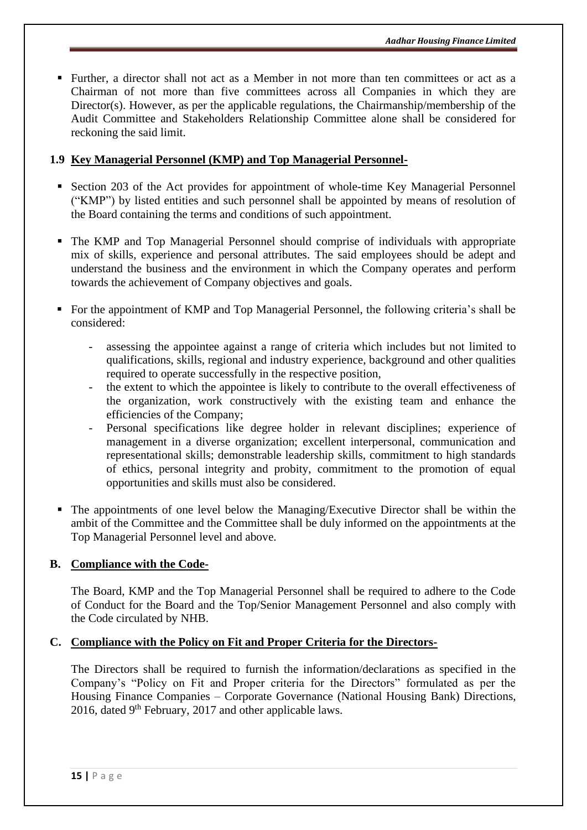▪ Further, a director shall not act as a Member in not more than ten committees or act as a Chairman of not more than five committees across all Companies in which they are Director(s). However, as per the applicable regulations, the Chairmanship/membership of the Audit Committee and Stakeholders Relationship Committee alone shall be considered for reckoning the said limit.

## **1.9 Key Managerial Personnel (KMP) and Top Managerial Personnel-**

- Section 203 of the Act provides for appointment of whole-time Key Managerial Personnel ("KMP") by listed entities and such personnel shall be appointed by means of resolution of the Board containing the terms and conditions of such appointment.
- The KMP and Top Managerial Personnel should comprise of individuals with appropriate mix of skills, experience and personal attributes. The said employees should be adept and understand the business and the environment in which the Company operates and perform towards the achievement of Company objectives and goals.
- For the appointment of KMP and Top Managerial Personnel, the following criteria's shall be considered:
	- assessing the appointee against a range of criteria which includes but not limited to qualifications, skills, regional and industry experience, background and other qualities required to operate successfully in the respective position,
	- the extent to which the appointee is likely to contribute to the overall effectiveness of the organization, work constructively with the existing team and enhance the efficiencies of the Company;
	- Personal specifications like degree holder in relevant disciplines; experience of management in a diverse organization; excellent interpersonal, communication and representational skills; demonstrable leadership skills, commitment to high standards of ethics, personal integrity and probity, commitment to the promotion of equal opportunities and skills must also be considered.
- The appointments of one level below the Managing/Executive Director shall be within the ambit of the Committee and the Committee shall be duly informed on the appointments at the Top Managerial Personnel level and above.

#### **B. Compliance with the Code-**

The Board, KMP and the Top Managerial Personnel shall be required to adhere to the Code of Conduct for the Board and the Top/Senior Management Personnel and also comply with the Code circulated by NHB.

#### **C. Compliance with the Policy on Fit and Proper Criteria for the Directors-**

The Directors shall be required to furnish the information/declarations as specified in the Company's "Policy on Fit and Proper criteria for the Directors" formulated as per the Housing Finance Companies – Corporate Governance (National Housing Bank) Directions, 2016, dated  $9<sup>th</sup>$  February, 2017 and other applicable laws.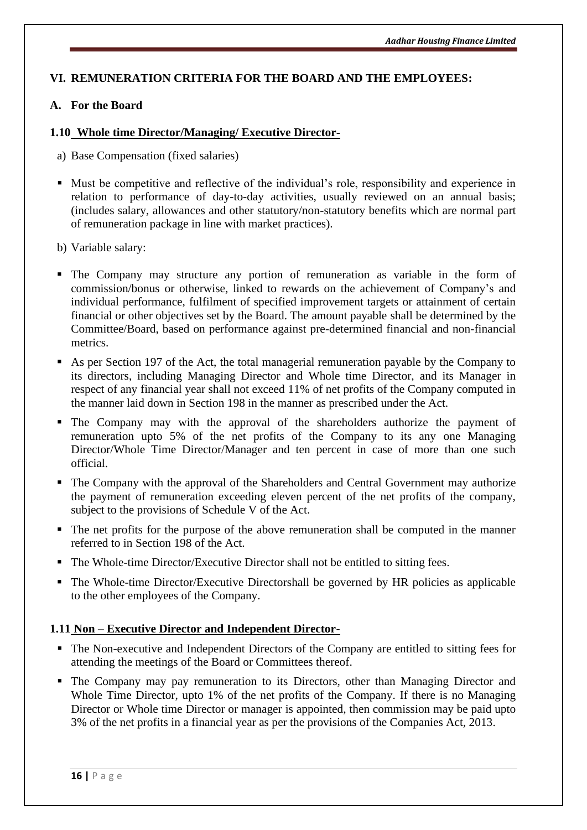## **VI. REMUNERATION CRITERIA FOR THE BOARD AND THE EMPLOYEES:**

## **A. For the Board**

## **1.10 Whole time Director/Managing/ Executive Director-**

- a) Base Compensation (fixed salaries)
- Must be competitive and reflective of the individual's role, responsibility and experience in relation to performance of day-to-day activities, usually reviewed on an annual basis; (includes salary, allowances and other statutory/non-statutory benefits which are normal part of remuneration package in line with market practices).
- b) Variable salary:
- The Company may structure any portion of remuneration as variable in the form of commission/bonus or otherwise, linked to rewards on the achievement of Company's and individual performance, fulfilment of specified improvement targets or attainment of certain financial or other objectives set by the Board. The amount payable shall be determined by the Committee/Board, based on performance against pre-determined financial and non-financial metrics.
- As per Section 197 of the Act, the total managerial remuneration payable by the Company to its directors, including Managing Director and Whole time Director, and its Manager in respect of any financial year shall not exceed 11% of net profits of the Company computed in the manner laid down in Section 198 in the manner as prescribed under the Act.
- The Company may with the approval of the shareholders authorize the payment of remuneration upto 5% of the net profits of the Company to its any one Managing Director/Whole Time Director/Manager and ten percent in case of more than one such official.
- The Company with the approval of the Shareholders and Central Government may authorize the payment of remuneration exceeding eleven percent of the net profits of the company, subject to the provisions of Schedule V of the Act.
- The net profits for the purpose of the above remuneration shall be computed in the manner referred to in Section 198 of the Act.
- The Whole-time Director/Executive Director shall not be entitled to sitting fees.
- The Whole-time Director/Executive Directorshall be governed by HR policies as applicable to the other employees of the Company.

#### **1.11 Non – Executive Director and Independent Director-**

- The Non-executive and Independent Directors of the Company are entitled to sitting fees for attending the meetings of the Board or Committees thereof.
- The Company may pay remuneration to its Directors, other than Managing Director and Whole Time Director, upto 1% of the net profits of the Company. If there is no Managing Director or Whole time Director or manager is appointed, then commission may be paid upto 3% of the net profits in a financial year as per the provisions of the Companies Act, 2013.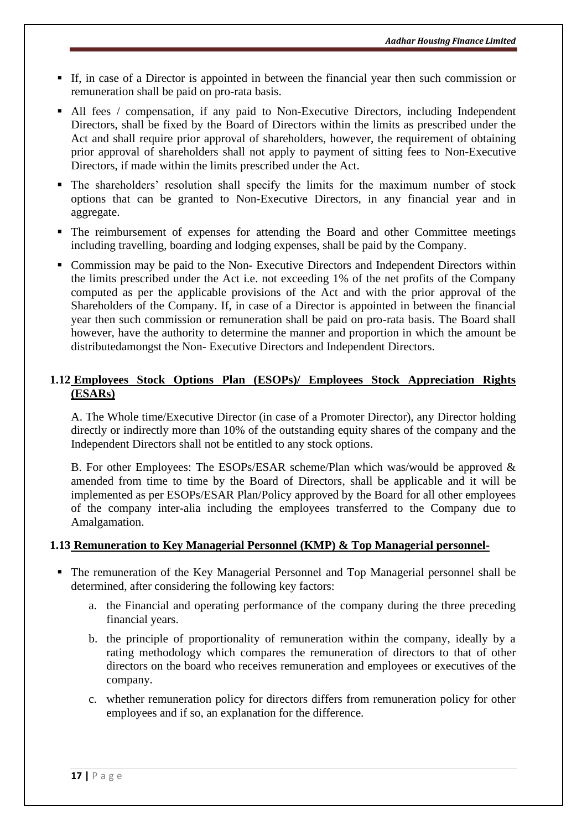- If, in case of a Director is appointed in between the financial year then such commission or remuneration shall be paid on pro-rata basis.
- All fees / compensation, if any paid to Non-Executive Directors, including Independent Directors, shall be fixed by the Board of Directors within the limits as prescribed under the Act and shall require prior approval of shareholders, however, the requirement of obtaining prior approval of shareholders shall not apply to payment of sitting fees to Non-Executive Directors, if made within the limits prescribed under the Act.
- The shareholders' resolution shall specify the limits for the maximum number of stock options that can be granted to Non-Executive Directors, in any financial year and in aggregate.
- The reimbursement of expenses for attending the Board and other Committee meetings including travelling, boarding and lodging expenses, shall be paid by the Company.
- Commission may be paid to the Non- Executive Directors and Independent Directors within the limits prescribed under the Act i.e. not exceeding 1% of the net profits of the Company computed as per the applicable provisions of the Act and with the prior approval of the Shareholders of the Company. If, in case of a Director is appointed in between the financial year then such commission or remuneration shall be paid on pro-rata basis. The Board shall however, have the authority to determine the manner and proportion in which the amount be distributedamongst the Non- Executive Directors and Independent Directors.

## **1.12 Employees Stock Options Plan (ESOPs)/ Employees Stock Appreciation Rights (ESARs)**

A. The Whole time/Executive Director (in case of a Promoter Director), any Director holding directly or indirectly more than 10% of the outstanding equity shares of the company and the Independent Directors shall not be entitled to any stock options.

B. For other Employees: The ESOPs/ESAR scheme/Plan which was/would be approved & amended from time to time by the Board of Directors, shall be applicable and it will be implemented as per ESOPs/ESAR Plan/Policy approved by the Board for all other employees of the company inter-alia including the employees transferred to the Company due to Amalgamation.

#### **1.13 Remuneration to Key Managerial Personnel (KMP) & Top Managerial personnel-**

- The remuneration of the Key Managerial Personnel and Top Managerial personnel shall be determined, after considering the following key factors:
	- a. the Financial and operating performance of the company during the three preceding financial years.
	- b. the principle of proportionality of remuneration within the company, ideally by a rating methodology which compares the remuneration of directors to that of other directors on the board who receives remuneration and employees or executives of the company.
	- c. whether remuneration policy for directors differs from remuneration policy for other employees and if so, an explanation for the difference.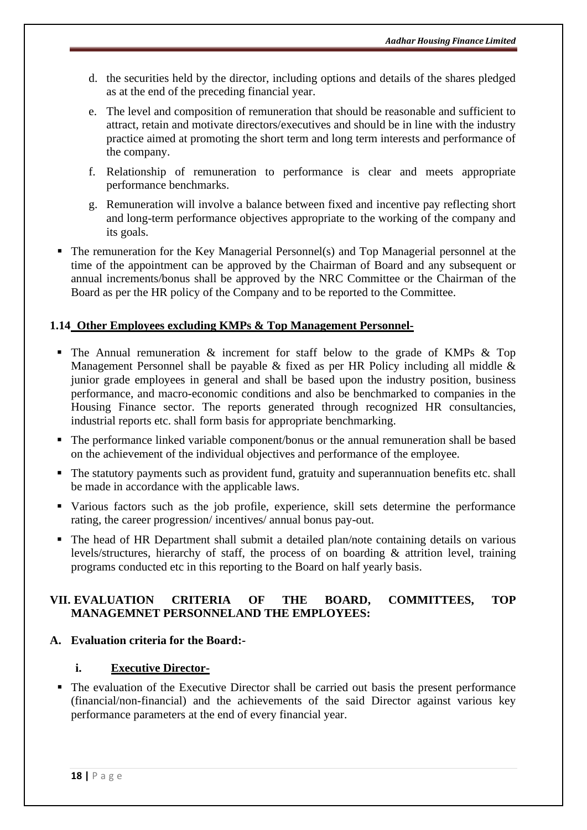- d. the securities held by the director, including options and details of the shares pledged as at the end of the preceding financial year.
- e. The level and composition of remuneration that should be reasonable and sufficient to attract, retain and motivate directors/executives and should be in line with the industry practice aimed at promoting the short term and long term interests and performance of the company.
- f. Relationship of remuneration to performance is clear and meets appropriate performance benchmarks.
- g. Remuneration will involve a balance between fixed and incentive pay reflecting short and long-term performance objectives appropriate to the working of the company and its goals.
- The remuneration for the Key Managerial Personnel(s) and Top Managerial personnel at the time of the appointment can be approved by the Chairman of Board and any subsequent or annual increments/bonus shall be approved by the NRC Committee or the Chairman of the Board as per the HR policy of the Company and to be reported to the Committee.

## **1.14 Other Employees excluding KMPs & Top Management Personnel-**

- **•** The Annual remuneration  $\&$  increment for staff below to the grade of KMPs  $\&$  Top Management Personnel shall be payable & fixed as per HR Policy including all middle & junior grade employees in general and shall be based upon the industry position, business performance, and macro-economic conditions and also be benchmarked to companies in the Housing Finance sector. The reports generated through recognized HR consultancies, industrial reports etc. shall form basis for appropriate benchmarking.
- The performance linked variable component/bonus or the annual remuneration shall be based on the achievement of the individual objectives and performance of the employee.
- The statutory payments such as provident fund, gratuity and superannuation benefits etc. shall be made in accordance with the applicable laws.
- Various factors such as the job profile, experience, skill sets determine the performance rating, the career progression/ incentives/ annual bonus pay-out.
- The head of HR Department shall submit a detailed plan/note containing details on various levels/structures, hierarchy of staff, the process of on boarding & attrition level, training programs conducted etc in this reporting to the Board on half yearly basis.

## **VII. EVALUATION CRITERIA OF THE BOARD, COMMITTEES, TOP MANAGEMNET PERSONNELAND THE EMPLOYEES:**

## **A. Evaluation criteria for the Board:-**

## **i. Executive Director-**

The evaluation of the Executive Director shall be carried out basis the present performance (financial/non-financial) and the achievements of the said Director against various key performance parameters at the end of every financial year.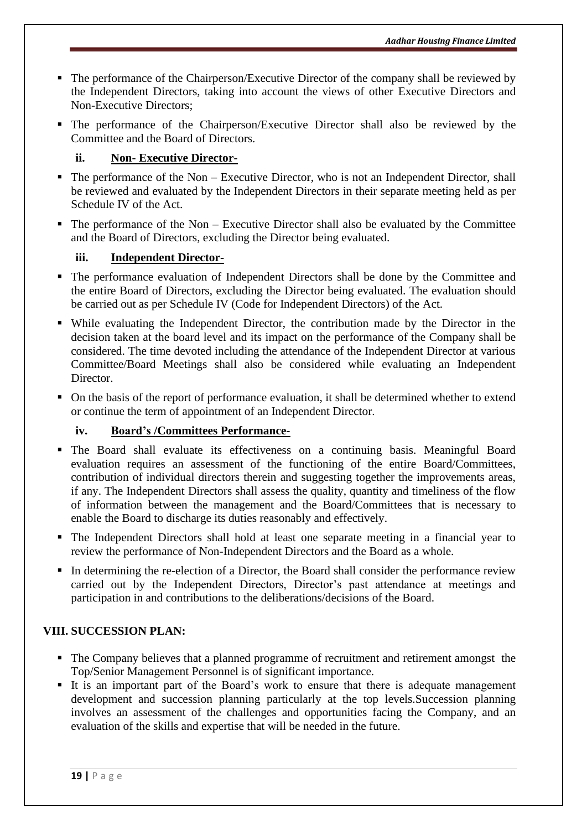- The performance of the Chairperson/Executive Director of the company shall be reviewed by the Independent Directors, taking into account the views of other Executive Directors and Non-Executive Directors;
- The performance of the Chairperson/Executive Director shall also be reviewed by the Committee and the Board of Directors.

## **ii. Non- Executive Director-**

- $\blacksquare$  The performance of the Non Executive Director, who is not an Independent Director, shall be reviewed and evaluated by the Independent Directors in their separate meeting held as per Schedule IV of the Act.
- $\blacksquare$  The performance of the Non Executive Director shall also be evaluated by the Committee and the Board of Directors, excluding the Director being evaluated.

## **iii. Independent Director-**

- The performance evaluation of Independent Directors shall be done by the Committee and the entire Board of Directors, excluding the Director being evaluated. The evaluation should be carried out as per Schedule IV (Code for Independent Directors) of the Act.
- While evaluating the Independent Director, the contribution made by the Director in the decision taken at the board level and its impact on the performance of the Company shall be considered. The time devoted including the attendance of the Independent Director at various Committee/Board Meetings shall also be considered while evaluating an Independent Director.
- On the basis of the report of performance evaluation, it shall be determined whether to extend or continue the term of appointment of an Independent Director.

## **iv. Board's /Committees Performance-**

- The Board shall evaluate its effectiveness on a continuing basis. Meaningful Board evaluation requires an assessment of the functioning of the entire Board/Committees, contribution of individual directors therein and suggesting together the improvements areas, if any. The Independent Directors shall assess the quality, quantity and timeliness of the flow of information between the management and the Board/Committees that is necessary to enable the Board to discharge its duties reasonably and effectively.
- The Independent Directors shall hold at least one separate meeting in a financial year to review the performance of Non-Independent Directors and the Board as a whole.
- In determining the re-election of a Director, the Board shall consider the performance review carried out by the Independent Directors, Director's past attendance at meetings and participation in and contributions to the deliberations/decisions of the Board.

## **VIII. SUCCESSION PLAN:**

- The Company believes that a planned programme of recruitment and retirement amongst the Top/Senior Management Personnel is of significant importance.
- It is an important part of the Board's work to ensure that there is adequate management development and succession planning particularly at the top levels.Succession planning involves an assessment of the challenges and opportunities facing the Company, and an evaluation of the skills and expertise that will be needed in the future.